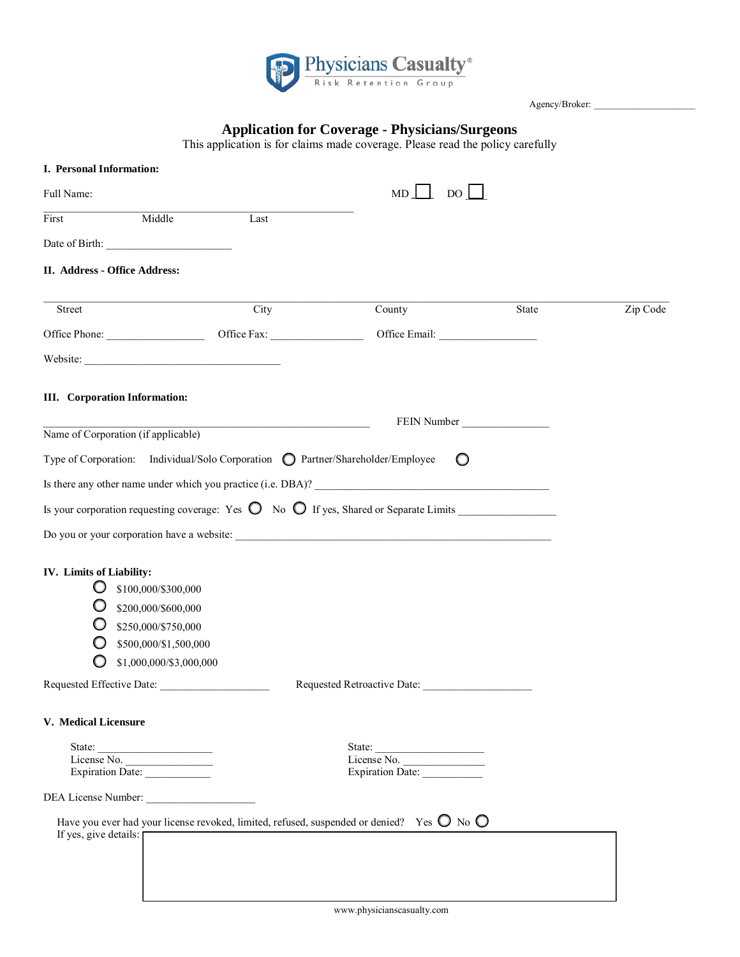

Agency/Broker:

# **Application for Coverage - Physicians/Surgeons**

This application is for claims made coverage. Please read the policy carefully

| I. Personal Information:                                                                                                             |      |                                        |             |          |
|--------------------------------------------------------------------------------------------------------------------------------------|------|----------------------------------------|-------------|----------|
| Full Name:                                                                                                                           |      | $MD \perp DO \perp$                    |             |          |
| Middle<br>First                                                                                                                      | Last |                                        |             |          |
|                                                                                                                                      |      |                                        |             |          |
| II. Address - Office Address:                                                                                                        |      |                                        |             |          |
| Street                                                                                                                               | City | County                                 | State       | Zip Code |
|                                                                                                                                      |      |                                        |             |          |
|                                                                                                                                      |      |                                        |             |          |
| <b>III.</b> Corporation Information:                                                                                                 |      |                                        |             |          |
| Name of Corporation (if applicable)                                                                                                  |      |                                        | FEIN Number |          |
|                                                                                                                                      |      |                                        |             |          |
| Type of Corporation: Individual/Solo Corporation © Partner/Shareholder/Employee                                                      |      | $\circ$                                |             |          |
| Is there any other name under which you practice (i.e. DBA)?                                                                         |      |                                        |             |          |
| Is your corporation requesting coverage: Yes $\bigcirc$ No $\bigcirc$ If yes, Shared or Separate Limits                              |      |                                        |             |          |
|                                                                                                                                      |      |                                        |             |          |
|                                                                                                                                      |      |                                        |             |          |
| IV. Limits of Liability:                                                                                                             |      |                                        |             |          |
| \$100,000/\$300,000                                                                                                                  |      |                                        |             |          |
| \$200,000/\$600,000                                                                                                                  |      |                                        |             |          |
| \$250,000/\$750,000                                                                                                                  |      |                                        |             |          |
| \$500,000/\$1,500,000                                                                                                                |      |                                        |             |          |
| \$1,000,000/\$3,000,000                                                                                                              |      |                                        |             |          |
| Requested Effective Date:                                                                                                            |      | Requested Retroactive Date:            |             |          |
| V. Medical Licensure                                                                                                                 |      |                                        |             |          |
|                                                                                                                                      |      |                                        |             |          |
| Expiration Date:                                                                                                                     |      | State: License No.<br>Expiration Date: |             |          |
|                                                                                                                                      |      |                                        |             |          |
| DEA License Number:                                                                                                                  |      |                                        |             |          |
| Have you ever had your license revoked, limited, refused, suspended or denied? Yes $\bigcirc$ No $\bigcirc$<br>If yes, give details: |      |                                        |             |          |
|                                                                                                                                      |      |                                        |             |          |
|                                                                                                                                      |      |                                        |             |          |
|                                                                                                                                      |      |                                        |             |          |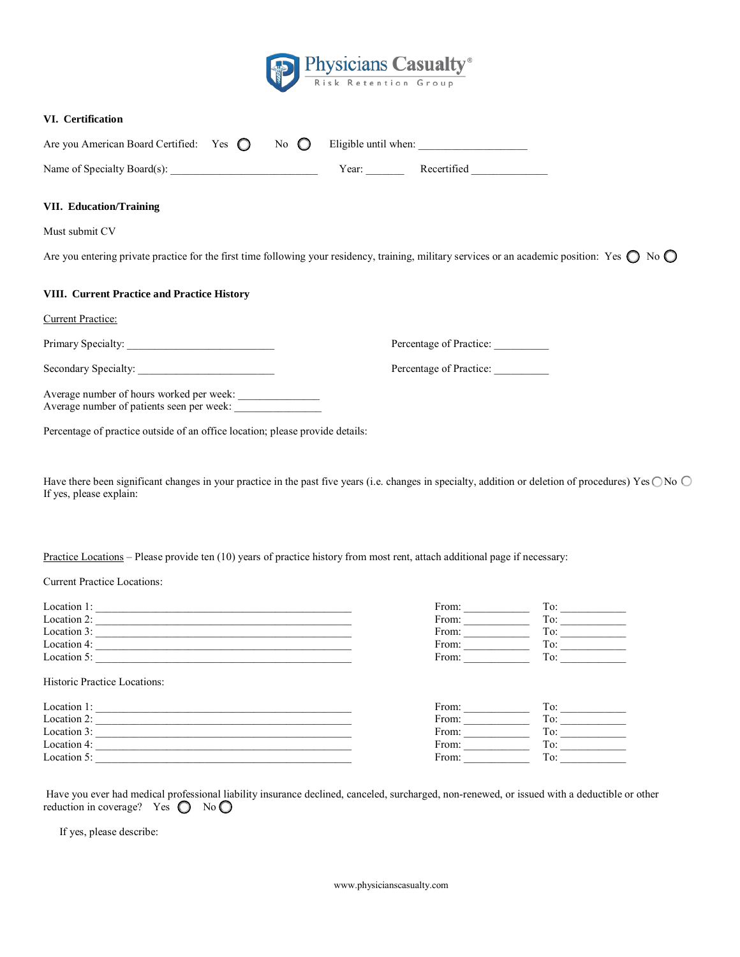

## **VI. Certification**

| Are you American Board Certified: Yes $\bigcap$ No $\bigcap$ Eligible until when: |  |        |             |
|-----------------------------------------------------------------------------------|--|--------|-------------|
| Name of Specialty Board(s):                                                       |  | Y ear: | Recertified |

## **VII. Education/Training**

Must submit CV

Are you entering private practice for the first time following your residency, training, military services or an academic position: Yes  $\bigcirc$  No  $\bigcirc$ 

## **VIII. Current Practice and Practice History**

Current Practice:

Primary Specialty: \_\_\_\_\_\_\_\_\_\_\_\_\_\_\_\_\_\_\_\_\_\_\_\_\_\_\_ Percentage of Practice: \_\_\_\_\_\_\_\_\_\_

Secondary Specialty: \_\_\_\_\_\_\_\_\_\_\_\_\_\_\_\_\_\_\_\_\_\_\_\_\_ Percentage of Practice: \_\_\_\_\_\_\_\_\_\_

Average number of hours worked per week: Average number of patients seen per week:

Percentage of practice outside of an office location; please provide details:

Have there been significant changes in your practice in the past five years (i.e. changes in specialty, addition or deletion of procedures) Yes  $\bigcirc$  No  $\bigcirc$ If yes, please explain:

Practice Locations – Please provide ten (10) years of practice history from most rent, attach additional page if necessary:

Current Practice Locations:

| Location 1: | From: | 1 V       |
|-------------|-------|-----------|
| Location 2: | From: | ᠇᠇<br>1 V |
| Location 3: | From: |           |
| Location 4: | From: |           |
| Location 5: | From: | 10        |
|             |       |           |

Historic Practice Locations:

| Location 1: | From: | TO. |
|-------------|-------|-----|
| Location 2: | From: | 10  |
| Location 3: | From: | TO. |
| Location 4: | From: | 10. |
| Location 5: | From: | 10  |

Have you ever had medical professional liability insurance declined, canceled, surcharged, non-renewed, or issued with a deductible or other reduction in coverage? Yes  $\bigcirc$  No  $\bigcirc$ 

If yes, please describe:

www.physicianscasualty.com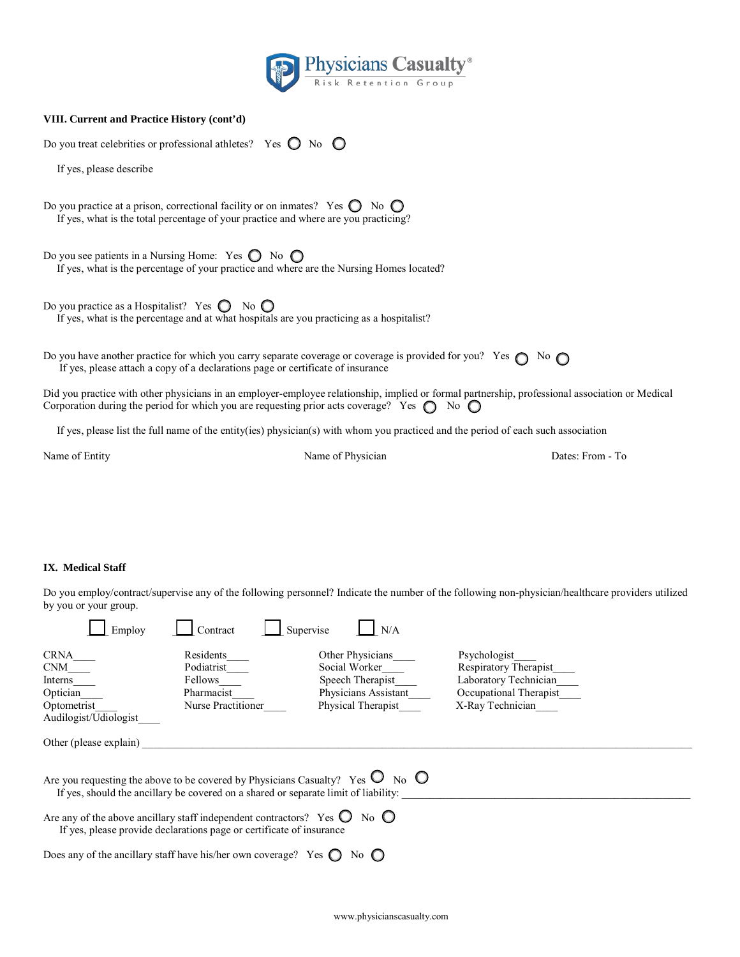

|  |  | VIII. Current and Practice History (cont'd) |  |  |
|--|--|---------------------------------------------|--|--|
|--|--|---------------------------------------------|--|--|

Do you treat celebrities or professional athletes? Yes  $\bigcirc$  No  $\bigcirc$ 

If yes, please describe

Do you practice at a prison, correctional facility or on inmates? Yes  $\bigcirc$  No  $\bigcirc$ If yes, what is the total percentage of your practice and where are you practicing?

Do you see patients in a Nursing Home: Yes  $\bigcirc$  No  $\bigcirc$ If yes, what is the percentage of your practice and where are the Nursing Homes located?

Do you practice as a Hospitalist? Yes  $\bigcirc$  No  $\bigcirc$ If yes, what is the percentage and at what hospitals are you practicing as a hospitalist?

Do you have another practice for which you carry separate coverage or coverage is provided for you? Yes  $\bigcirc$  No  $\bigcirc$ If yes, please attach a copy of a declarations page or certificate of insurance

Did you practice with other physicians in an employer-employee relationship, implied or formal partnership, professional association or Medical Corporation during the period for which you are requesting prior acts coverage? Yes  $\bigcirc$  No  $\bigcirc$ 

If yes, please list the full name of the entity(ies) physician(s) with whom you practiced and the period of each such association

Name of Entity Name of Physician Dates: From - To

#### **IX. Medical Staff**

Do you employ/contract/supervise any of the following personnel? Indicate the number of the following non-physician/healthcare providers utilized by you or your group.

| Employ                                                                                                                                                                                       | Supervise<br>Contract                                                  | N/A                                                                                                 |                                                                                                              |  |
|----------------------------------------------------------------------------------------------------------------------------------------------------------------------------------------------|------------------------------------------------------------------------|-----------------------------------------------------------------------------------------------------|--------------------------------------------------------------------------------------------------------------|--|
| <b>CRNA</b><br><b>CNM</b><br>Interns<br>Optician<br>Optometrist<br>Audilogist/Udiologist                                                                                                     | Residents<br>Podiatrist<br>Fellows<br>Pharmacist<br>Nurse Practitioner | Other Physicians<br>Social Worker<br>Speech Therapist<br>Physicians Assistant<br>Physical Therapist | Psychologist<br>Respiratory Therapist<br>Laboratory Technician<br>Occupational Therapist<br>X-Ray Technician |  |
| Other (please explain)                                                                                                                                                                       |                                                                        |                                                                                                     |                                                                                                              |  |
| $_{\text{No}}$ O<br>Are you requesting the above to be covered by Physicians Casualty? Yes $\bigcirc$<br>If yes, should the ancillary be covered on a shared or separate limit of liability. |                                                                        |                                                                                                     |                                                                                                              |  |
| No $\bigcirc$<br>Are any of the above ancillary staff independent contractors? Yes $\bigcirc$<br>If yes, please provide declarations page or certificate of insurance                        |                                                                        |                                                                                                     |                                                                                                              |  |
| Does any of the ancillary staff have his/her own coverage? Yes $\bigcirc$<br>No $\Box$                                                                                                       |                                                                        |                                                                                                     |                                                                                                              |  |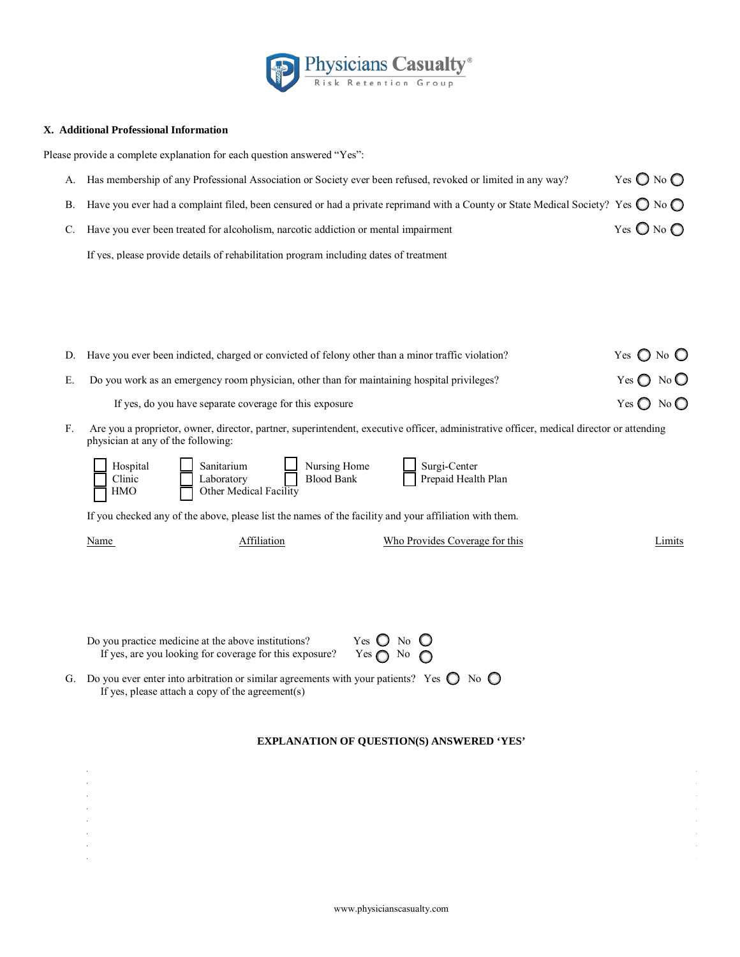

## **X. Additional Professional Information**

Please provide a complete explanation for each question answered "Yes":

| $A_{-}$ | Has membership of any Professional Association or Society ever been refused, revoked or limited in any way?                                           | Yes $\bigcirc$ No $\bigcirc$ |
|---------|-------------------------------------------------------------------------------------------------------------------------------------------------------|------------------------------|
|         | B. Have you ever had a complaint filed, been censured or had a private reprimand with a County or State Medical Society? Yes $\bigcirc$ No $\bigcirc$ |                              |
|         | C. Have you ever been treated for alcoholism, narcotic addiction or mental impairment                                                                 | Yes $\bigcirc$ No $\bigcirc$ |
|         | If yes, please provide details of rehabilitation program including dates of treatment                                                                 |                              |

|    | D. Have you ever been indicted, charged or convicted of felony other than a minor traffic violation? | Yes $\bigcirc$ No $\bigcirc$ |
|----|------------------------------------------------------------------------------------------------------|------------------------------|
| E. | Do you work as an emergency room physician, other than for maintaining hospital privileges?          | Yes $\bigcirc$ No $\bigcirc$ |
|    | If yes, do you have separate coverage for this exposure                                              | Yes $\bigcirc$ No $\bigcirc$ |

F. Are you a proprietor, owner, director, partner, superintendent, executive officer, administrative officer, medical director or attending physician at any of the following:

| Hospital<br>Clinic<br>$\Box$ HMO | Sanitarium<br>Laboratory<br>Other Medical Facility | Nursing Home<br><b>Blood Bank</b> | Surgi-Center<br>Prepaid Health Plan                                                                    |  |
|----------------------------------|----------------------------------------------------|-----------------------------------|--------------------------------------------------------------------------------------------------------|--|
|                                  |                                                    |                                   | If you checked any of the above, please list the names of the facility and your affiliation with them. |  |

Name **Affiliation** Who Provides Coverage for this Limits **Limits** 

| Do you practice medicine at the above institutions?     | Yes $\bigcirc$ No $\bigcirc$ |
|---------------------------------------------------------|------------------------------|
| If yes, are you looking for coverage for this exposure? | Yes $\bigcap$ No $\bigcap$   |

G. Do you ever enter into arbitration or similar agreements with your patients? Yes  $\bigcirc$  No  $\bigcirc$ If yes, please attach a copy of the agreement(s)

## **EXPLANATION OF QUESTION(S) ANSWERED 'YES'**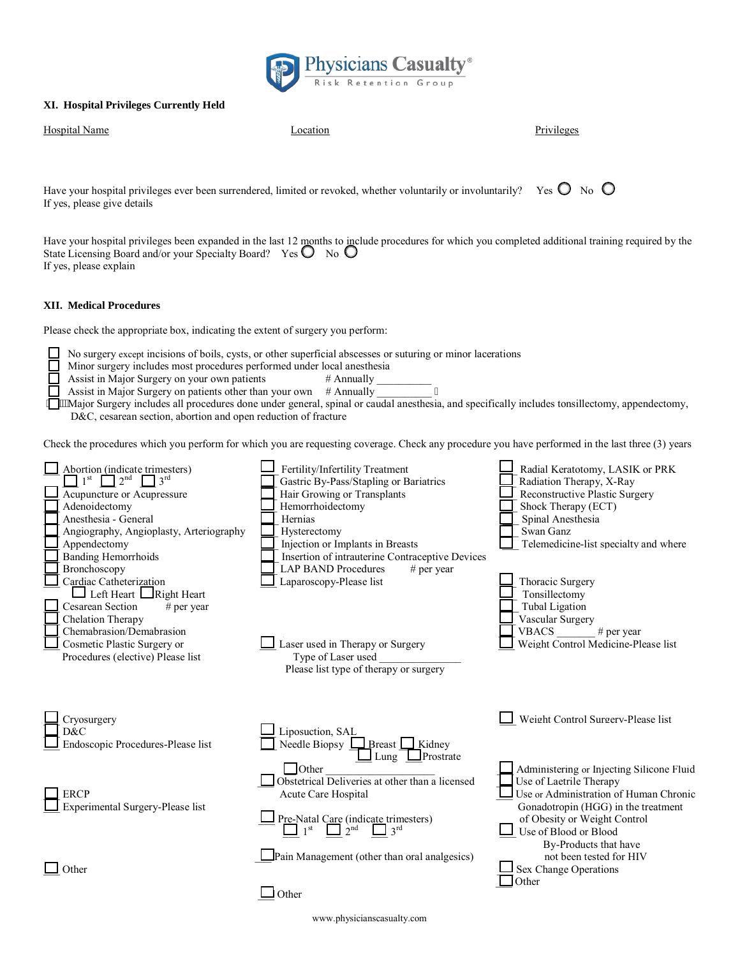

## **XI. Hospital Privileges Currently Held**

| <b>Hospital Name</b> | Location | Privileges |
|----------------------|----------|------------|
|                      |          |            |

Have your hospital privileges ever been surrendered, limited or revoked, whether voluntarily or involuntarily? Yes  $\bigcirc$  No  $\bigcirc$ If yes, please give details

Have your hospital privileges been expanded in the last 12 months to include procedures for which you completed additional training required by the State Licensing Board and/or your Specialty Board? Yes O No O If yes, please explain

## **XII. Medical Procedures**

Please check the appropriate box, indicating the extent of surgery you perform:

No surgery except incisions of boils, cysts, or other superficial abscesses or suturing or minor lacerations

Minor surgery includes most procedures performed under local anesthesia

 $\Box$  Assist in Major Surgery on your own patients # Annually

Assist in Major Surgery on patients other than your own  $\#$  Annually  $\overline{\qquad}$  "

Major Surgery includes all procedures done under general, spinal or caudal anesthesia, and specifically includes tonsillectomy, appendectomy, D&C, cesarean section, abortion and open reduction of fracture

Check the procedures which you perform for which you are requesting coverage. Check any procedure you have performed in the last three (3) years

| Abortion (indicate trimesters)<br>2 <sup>nd</sup><br>$\sqrt{3}$ rd<br>Acupuncture or Acupressure<br>Adenoidectomy<br>Anesthesia - General<br>Angiography, Angioplasty, Arteriography<br>Appendectomy<br><b>Banding Hemorrhoids</b>              | Fertility/Infertility Treatment<br>Gastric By-Pass/Stapling or Bariatrics<br>Hair Growing or Transplants<br>Hemorrhoidectomy<br>Hernias<br>Hysterectomy<br>Injection or Implants in Breasts<br>Insertion of intrauterine Contraceptive Devices | Radial Keratotomy, LASIK or PRK<br>Radiation Therapy, X-Ray<br>Reconstructive Plastic Surgery<br>Shock Therapy (ECT)<br>Spinal Anesthesia<br>Swan Ganz<br>Telemedicine-list specialty and where                |
|-------------------------------------------------------------------------------------------------------------------------------------------------------------------------------------------------------------------------------------------------|------------------------------------------------------------------------------------------------------------------------------------------------------------------------------------------------------------------------------------------------|----------------------------------------------------------------------------------------------------------------------------------------------------------------------------------------------------------------|
| Bronchoscopy<br>Cardiac Catheterization<br>$\Box$ Left Heart $\Box$ Right Heart<br><b>Cesarean Section</b><br>$#$ per year<br>Chelation Therapy<br>Chemabrasion/Demabrasion<br>Cosmetic Plastic Surgery or<br>Procedures (elective) Please list | <b>LAP BAND Procedures</b><br># per year<br>aparoscopy-Please list<br>Laser used in Therapy or Surgery<br>Type of Laser used<br>Please list type of therapy or surgery                                                                         | Thoracic Surgery<br>Tonsillectomy<br><b>Tubal Ligation</b><br>Vascular Surgery<br><b>VBACS</b><br># per year<br>Weight Control Medicine-Please list                                                            |
| Cryosurgery<br>D&C<br>Endoscopic Procedures-Please list                                                                                                                                                                                         | Liposuction, SAL<br>Needle Biopsy $L$<br>$Breat$ Kidney<br>Prostrate<br>Lung                                                                                                                                                                   | Weight Control Surgerv-Please list                                                                                                                                                                             |
| <b>ERCP</b><br>Experimental Surgery-Please list                                                                                                                                                                                                 | $\Box$ Other<br>Obstetrical Deliveries at other than a licensed<br>Acute Care Hospital<br>Pre-Natal Care (indicate trimesters)<br>$3^{\text{rd}}$<br>1 <sup>st</sup><br>$2^{nd}$                                                               | Administering or Injecting Silicone Fluid<br>Use of Laetrile Therapy<br>Use or Administration of Human Chronic<br>Gonadotropin (HGG) in the treatment<br>of Obesity or Weight Control<br>Use of Blood or Blood |
| Other                                                                                                                                                                                                                                           | Pain Management (other than oral analgesics)<br>Other                                                                                                                                                                                          | By-Products that have<br>not been tested for HIV<br>Sex Change Operations<br>Other                                                                                                                             |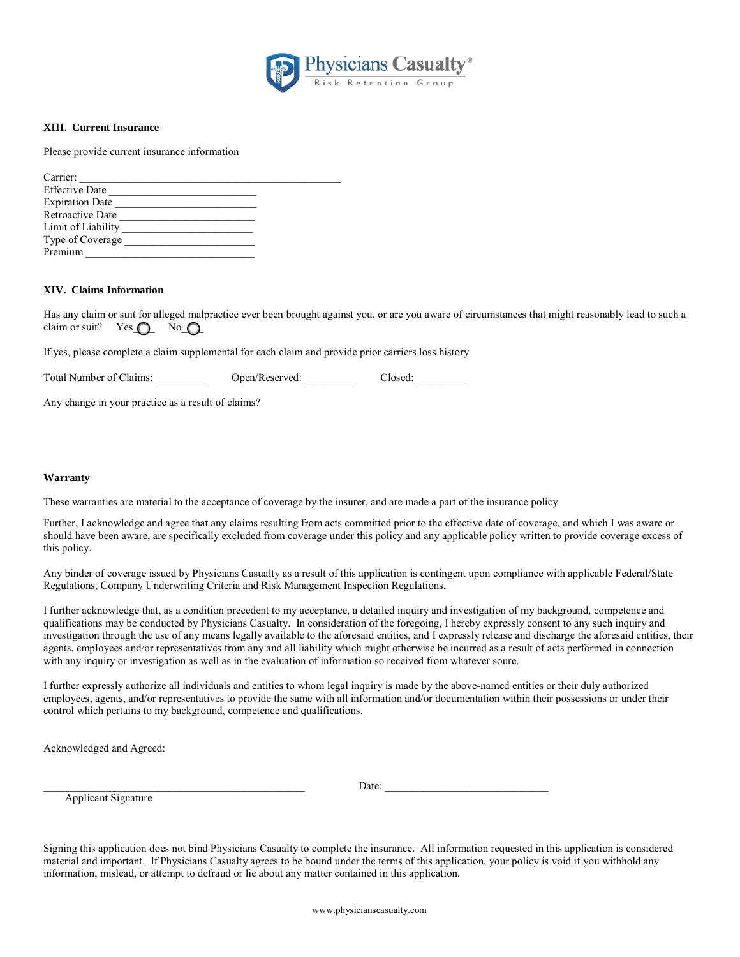

#### **XIII. Current Insurance**

Please provide current insurance information

| Carrier:               |  |
|------------------------|--|
| <b>Effective Date</b>  |  |
| <b>Expiration Date</b> |  |
| Retroactive Date       |  |
| Limit of Liability     |  |
| Type of Coverage       |  |
| Premium                |  |
|                        |  |

#### **XIV. Claims Information**

Has any claim or suit for alleged malpractice ever been brought against you, or are you aware of circumstances that might reasonably lead to such a claim or suit? Yes $\bigcirc$  No $\bigcirc$ 

If yes, please complete a claim supplemental for each claim and provide prior carriers loss history

Total Number of Claims: \_\_\_\_\_\_\_\_\_\_\_ Open/Reserved: \_\_\_\_\_\_\_\_\_ Closed: \_\_\_\_\_\_\_\_\_

Any change in your practice as a result of claims?

#### **Warranty**

These warranties are material to the acceptance of coverage by the insurer, and are made a part of the insurance policy

Further, I acknowledge and agree that any claims resulting from acts committed prior to the effective date of coverage, and which I was aware or should have been aware, are specifically excluded from coverage under this policy and any applicable policy written to provide coverage excess of this policy.

Any binder of coverage issued by Physicians Casualty as a result of this application is contingent upon compliance with applicable Federal/State Regulations, Company Underwriting Criteria and Risk Management Inspection Regulations.

I further acknowledge that, as a condition precedent to my acceptance, a detailed inquiry and investigation of my background, competence and qualifications may be conducted by Physicians Casualty. In consideration of the foregoing, I hereby expressly consent to any such inquiry and investigation through the use of any means legally available to the aforesaid entities, and I expressly release and discharge the aforesaid entities, their agents, employees and/or representatives from any and all liability which might otherwise be incurred as a result of acts performed in connection with any inquiry or investigation as well as in the evaluation of information so received from whatever soure.

I further expressly authorize all individuals and entities to whom legal inquiry is made by the above-named entities or their duly authorized employees, agents, and/or representatives to provide the same with all information and/or documentation within their possessions or under their control which pertains to my background, competence and qualifications.

Acknowledged and Agreed:

Date:

Applicant Signature

Signing this application does not bind Physicians Casualty to complete the insurance. All information requested in this application is considered material and important. If Physicians Casualty agrees to be bound under the terms of this application, your policy is void if you withhold any information, mislead, or attempt to defraud or lie about any matter contained in this application.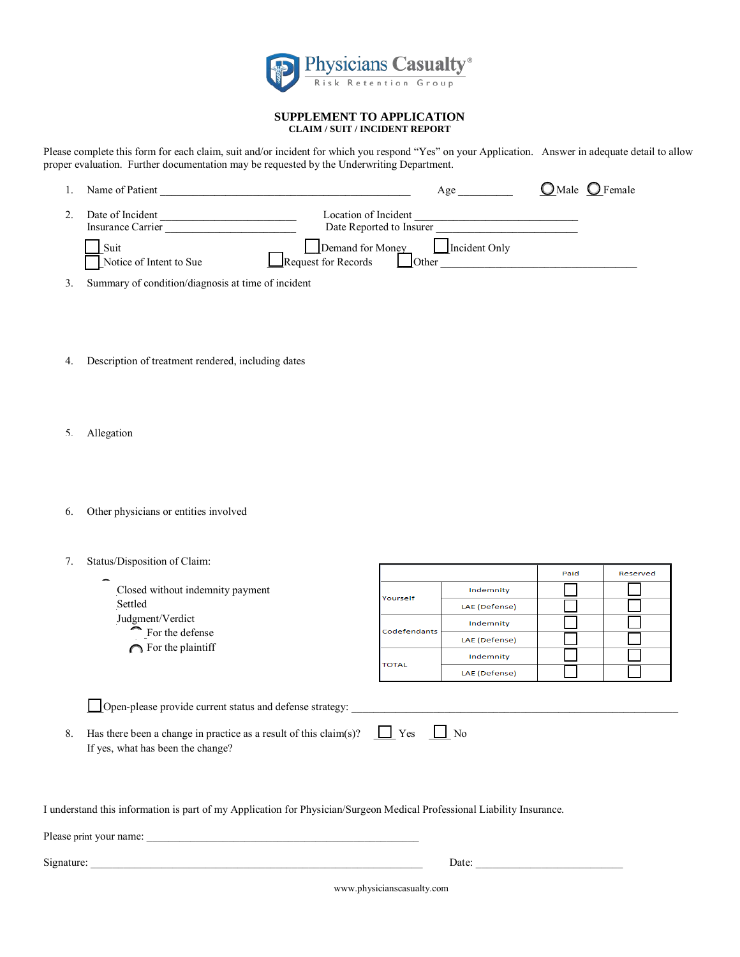

#### SUPPLEMENT TO APPLICATION **CLAIM / SUIT / INCIDENT REPORT**

Please complete this form for each claim, suit and/or incident for which you respond "Yes" on your Application. Answer in adequate detail to allow proper evaluation. Further documentation may be requested by the Underwriting Department.

| Name of Patient                       | Age                                                                      | $\bigcirc$ Male $\bigcirc$ Female |
|---------------------------------------|--------------------------------------------------------------------------|-----------------------------------|
| Date of Incident<br>Insurance Carrier | Location of Incident<br>Date Reported to Insurer                         |                                   |
| Suit<br>Notice of Intent to Sue       | Demand for Money<br>Request for Records<br>Incident Only<br><b>Other</b> |                                   |

Summary of condition/diagnosis at time of incident 3.

- $4.$ Description of treatment rendered, including dates
- Allegation  $\varsigma$
- Other physicians or entities involved 6.
- 7. Status/Disposition of Claim:

|                                                                                                                                                                                               |              |               | Paid | Reserved |  |
|-----------------------------------------------------------------------------------------------------------------------------------------------------------------------------------------------|--------------|---------------|------|----------|--|
| Closed without indemnity payment                                                                                                                                                              | Yourself     | Indemnity     |      |          |  |
| Settled<br>Judgment/Verdict<br>For the defense                                                                                                                                                |              | LAE (Defense) |      |          |  |
|                                                                                                                                                                                               | Codefendants | Indemnity     |      |          |  |
|                                                                                                                                                                                               |              | LAE (Defense) |      |          |  |
| $\bigcap$ For the plaintiff                                                                                                                                                                   | <b>TOTAL</b> | Indemnity     |      |          |  |
|                                                                                                                                                                                               |              | LAE (Defense) |      |          |  |
| Open-please provide current status and defense strategy:<br>$\Box$ No<br>$\Box$ Yes<br>Has there been a change in practice as a result of this claim(s)?<br>If yes, what has been the change? |              |               |      |          |  |

Г

Τ

т

┑

I understand this information is part of my Application for Physician/Surgeon Medical Professional Liability Insurance.

8.

Date:

www.physicianscasualty.com